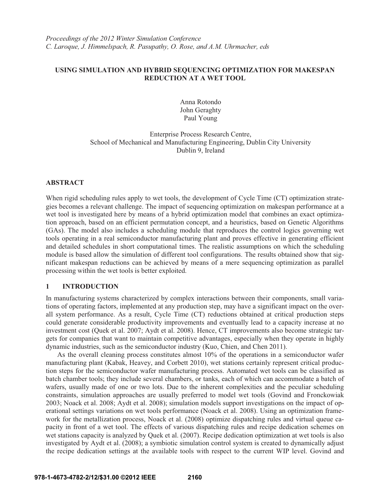# **USING SIMULATION AND HYBRID SEQUENCING OPTIMIZATION FOR MAKESPAN REDUCTION AT A WET TOOL**

Anna Rotondo John Geraghty Paul Young

Enterprise Process Research Centre, School of Mechanical and Manufacturing Engineering, Dublin City University Dublin 9, Ireland

### **ABSTRACT**

When rigid scheduling rules apply to wet tools, the development of Cycle Time (CT) optimization strategies becomes a relevant challenge. The impact of sequencing optimization on makespan performance at a wet tool is investigated here by means of a hybrid optimization model that combines an exact optimization approach, based on an efficient permutation concept, and a heuristics, based on Genetic Algorithms (GAs). The model also includes a scheduling module that reproduces the control logics governing wet tools operating in a real semiconductor manufacturing plant and proves effective in generating efficient and detailed schedules in short computational times. The realistic assumptions on which the scheduling module is based allow the simulation of different tool configurations. The results obtained show that significant makespan reductions can be achieved by means of a mere sequencing optimization as parallel processing within the wet tools is better exploited.

# **1 INTRODUCTION**

In manufacturing systems characterized by complex interactions between their components, small variations of operating factors, implemented at any production step, may have a significant impact on the overall system performance. As a result, Cycle Time (CT) reductions obtained at critical production steps could generate considerable productivity improvements and eventually lead to a capacity increase at no investment cost (Quek et al. 2007; Aydt et al. 2008). Hence, CT improvements also become strategic targets for companies that want to maintain competitive advantages, especially when they operate in highly dynamic industries, such as the semiconductor industry (Kuo, Chien, and Chen 2011).

As the overall cleaning process constitutes almost 10% of the operations in a semiconductor wafer manufacturing plant (Kabak, Heavey, and Corbett 2010), wet stations certainly represent critical production steps for the semiconductor wafer manufacturing process. Automated wet tools can be classified as batch chamber tools; they include several chambers, or tanks, each of which can accommodate a batch of wafers, usually made of one or two lots. Due to the inherent complexities and the peculiar scheduling constraints, simulation approaches are usually preferred to model wet tools (Govind and Fronckowiak 2003; Noack et al. 2008; Aydt et al. 2008); simulation models support investigations on the impact of operational settings variations on wet tools performance (Noack et al. 2008). Using an optimization framework for the metallization process, Noack et al. (2008) optimize dispatching rules and virtual queue capacity in front of a wet tool. The effects of various dispatching rules and recipe dedication schemes on wet stations capacity is analyzed by Quek et al. (2007). Recipe dedication optimization at wet tools is also investigated by Aydt et al. (2008); a symbiotic simulation control system is created to dynamically adjust the recipe dedication settings at the available tools with respect to the current WIP level. Govind and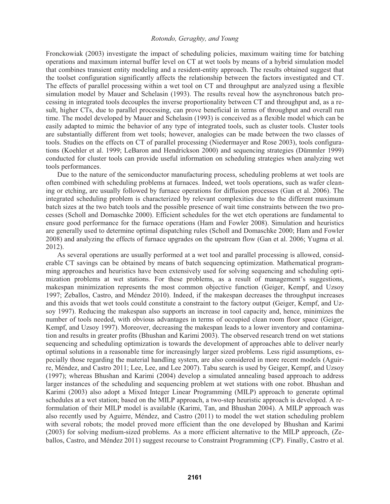Fronckowiak (2003) investigate the impact of scheduling policies, maximum waiting time for batching operations and maximum internal buffer level on CT at wet tools by means of a hybrid simulation model that combines transient entity modeling and a resident-entity approach. The results obtained suggest that the toolset configuration significantly affects the relationship between the factors investigated and CT. The effects of parallel processing within a wet tool on CT and throughput are analyzed using a flexible simulation model by Mauer and Schelasin (1993). The results reveal how the asynchronous batch processing in integrated tools decouples the inverse proportionality between CT and throughput and, as a result, higher CTs, due to parallel processing, can prove beneficial in terms of throughput and overall run time. The model developed by Mauer and Schelasin (1993) is conceived as a flexible model which can be easily adapted to mimic the behavior of any type of integrated tools, such as cluster tools. Cluster tools are substantially different from wet tools; however, analogies can be made between the two classes of tools. Studies on the effects on CT of parallel processing (Niedermayer and Rose 2003), tools configurations (Koehler et al. 1999; LeBaron and Hendrickson 2000) and sequencing strategies (Dümmler 1999) conducted for cluster tools can provide useful information on scheduling strategies when analyzing wet tools performances.

Due to the nature of the semiconductor manufacturing process, scheduling problems at wet tools are often combined with scheduling problems at furnaces. Indeed, wet tools operations, such as wafer cleaning or etching, are usually followed by furnace operations for diffusion processes (Gan et al. 2006). The integrated scheduling problem is characterized by relevant complexities due to the different maximum batch sizes at the two batch tools and the possible presence of wait time constraints between the two processes (Scholl and Domaschke 2000). Efficient schedules for the wet etch operations are fundamental to ensure good performance for the furnace operations (Ham and Fowler 2008). Simulation and heuristics are generally used to determine optimal dispatching rules (Scholl and Domaschke 2000; Ham and Fowler 2008) and analyzing the effects of furnace upgrades on the upstream flow (Gan et al. 2006; Yugma et al. 2012).

As several operations are usually performed at a wet tool and parallel processing is allowed, considerable CT savings can be obtained by means of batch sequencing optimization. Mathematical programming approaches and heuristics have been extensively used for solving sequencing and scheduling optimization problems at wet stations. For these problems, as a result of management's suggestions, makespan minimization represents the most common objective function (Geiger, Kempf, and Uzsoy 1997; Zeballos, Castro, and Méndez 2010). Indeed, if the makespan decreases the throughput increases and this avoids that wet tools could constitute a constraint to the factory output (Geiger, Kempf, and Uzsoy 1997). Reducing the makespan also supports an increase in tool capacity and, hence, minimizes the number of tools needed, with obvious advantages in terms of occupied clean room floor space (Geiger, Kempf, and Uzsoy 1997). Moreover, decreasing the makespan leads to a lower inventory and contamination and results in greater profits (Bhushan and Karimi 2003). The observed research trend on wet stations sequencing and scheduling optimization is towards the development of approaches able to deliver nearly optimal solutions in a reasonable time for increasingly larger sized problems. Less rigid assumptions, especially those regarding the material handling system, are also considered in more recent models (Aguirre, Méndez, and Castro 2011; Lee, Lee, and Lee 2007). Tabu search is used by Geiger, Kempf, and Uzsoy (1997); whereas Bhushan and Karimi (2004) develop a simulated annealing based approach to address larger instances of the scheduling and sequencing problem at wet stations with one robot. Bhushan and Karimi (2003) also adopt a Mixed Integer Linear Programming (MILP) approach to generate optimal schedules at a wet station; based on the MILP approach, a two-step heuristic approach is developed. A reformulation of their MILP model is available (Karimi, Tan, and Bhushan 2004). A MILP approach was also recently used by Aguirre, Méndez, and Castro (2011) to model the wet station scheduling problem with several robots; the model proved more efficient than the one developed by Bhushan and Karimi (2003) for solving medium-sized problems. As a more efficient alternative to the MILP approach, (Zeballos, Castro, and Méndez 2011) suggest recourse to Constraint Programming (CP). Finally, Castro et al.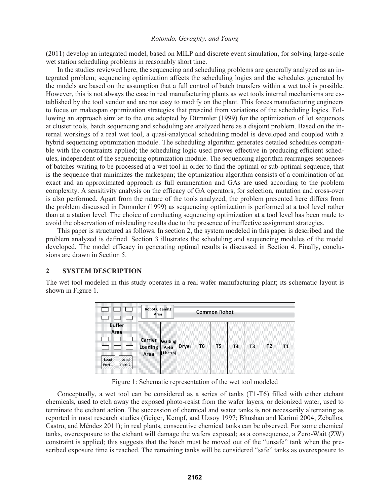(2011) develop an integrated model, based on MILP and discrete event simulation, for solving large-scale wet station scheduling problems in reasonably short time.

In the studies reviewed here, the sequencing and scheduling problems are generally analyzed as an integrated problem; sequencing optimization affects the scheduling logics and the schedules generated by the models are based on the assumption that a full control of batch transfers within a wet tool is possible. However, this is not always the case in real manufacturing plants as wet tools internal mechanisms are established by the tool vendor and are not easy to modify on the plant. This forces manufacturing engineers to focus on makespan optimization strategies that prescind from variations of the scheduling logics. Following an approach similar to the one adopted by Dümmler (1999) for the optimization of lot sequences at cluster tools, batch sequencing and scheduling are analyzed here as a disjoint problem. Based on the internal workings of a real wet tool, a quasi-analytical scheduling model is developed and coupled with a hybrid sequencing optimization module. The scheduling algorithm generates detailed schedules compatible with the constraints applied; the scheduling logic used proves effective in producing efficient schedules, independent of the sequencing optimization module. The sequencing algorithm rearranges sequences of batches waiting to be processed at a wet tool in order to find the optimal or sub-optimal sequence, that is the sequence that minimizes the makespan; the optimization algorithm consists of a combination of an exact and an approximated approach as full enumeration and GAs are used according to the problem complexity. A sensitivity analysis on the efficacy of GA operators, for selection, mutation and cross-over is also performed. Apart from the nature of the tools analyzed, the problem presented here differs from the problem discussed in Dümmler (1999) as sequencing optimization is performed at a tool level rather than at a station level. The choice of conducting sequencing optimization at a tool level has been made to avoid the observation of misleading results due to the presence of ineffective assignment strategies.

This paper is structured as follows. In section 2, the system modeled in this paper is described and the problem analyzed is defined. Section 3 illustrates the scheduling and sequencing modules of the model developed. The model efficacy in generating optimal results is discussed in Section 4. Finally, conclusions are drawn in Section 5.

### **2 SYSTEM DESCRIPTION**

The wet tool modeled in this study operates in a real wafer manufacturing plant; its schematic layout is shown in Figure 1.

|                                                                                 | <b>Robot Cleaning</b><br>Area |                                     | Common Robot |    |    |           |    |    |    |  |
|---------------------------------------------------------------------------------|-------------------------------|-------------------------------------|--------------|----|----|-----------|----|----|----|--|
| <b>Buffer</b><br>Area<br>Load<br>Load<br>Port <sub>1</sub><br>Port <sub>2</sub> | Carrier<br>Loading<br>Area    | <b>Waiting</b><br>Area<br>(1 batch) | Dryer        | T6 | T5 | <b>T4</b> | T3 | T2 | Т1 |  |

Figure 1: Schematic representation of the wet tool modeled

Conceptually, a wet tool can be considered as a series of tanks (T1-T6) filled with either etchant chemicals, used to etch away the exposed photo-resist from the wafer layers, or deionized water, used to terminate the etchant action. The succession of chemical and water tanks is not necessarily alternating as reported in most research studies (Geiger, Kempf, and Uzsoy 1997; Bhushan and Karimi 2004; Zeballos, Castro, and Méndez 2011); in real plants, consecutive chemical tanks can be observed. For some chemical tanks, overexposure to the etchant will damage the wafers exposed; as a consequence, a Zero-Wait (ZW) constraint is applied; this suggests that the batch must be moved out of the "unsafe" tank when the prescribed exposure time is reached. The remaining tanks will be considered "safe" tanks as overexposure to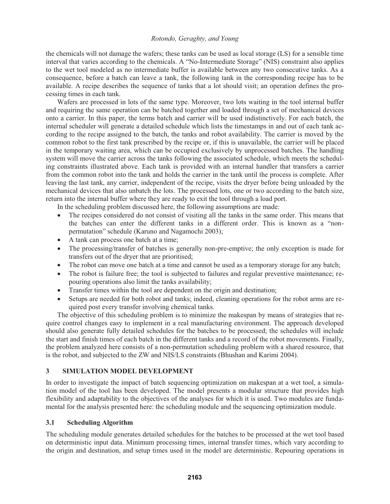the chemicals will not damage the wafers; these tanks can be used as local storage (LS) for a sensible time interval that varies according to the chemicals. A "No-Intermediate Storage" (NIS) constraint also applies to the wet tool modeled as no intermediate buffer is available between any two consecutive tanks. As a consequence, before a batch can leave a tank, the following tank in the corresponding recipe has to be available. A recipe describes the sequence of tanks that a lot should visit; an operation defines the processing times in each tank.

Wafers are processed in lots of the same type. Moreover, two lots waiting in the tool internal buffer and requiring the same operation can be batched together and loaded through a set of mechanical devices onto a carrier. In this paper, the terms batch and carrier will be used indistinctively. For each batch, the internal scheduler will generate a detailed schedule which lists the timestamps in and out of each tank according to the recipe assigned to the batch, the tanks and robot availability. The carrier is moved by the common robot to the first tank prescribed by the recipe or, if this is unavailable, the carrier will be placed in the temporary waiting area, which can be occupied exclusively by unprocessed batches. The handling system will move the carrier across the tanks following the associated schedule, which meets the scheduling constraints illustrated above. Each tank is provided with an internal handler that transfers a carrier from the common robot into the tank and holds the carrier in the tank until the process is complete. After leaving the last tank, any carrier, independent of the recipe, visits the dryer before being unloaded by the mechanical devices that also unbatch the lots. The processed lots, one or two according to the batch size, return into the internal buffer where they are ready to exit the tool through a load port.

In the scheduling problem discussed here, the following assumptions are made:

- $\bullet$  The recipes considered do not consist of visiting all the tanks in the same order. This means that the batches can enter the different tanks in a different order. This is known as a "nonpermutation" schedule (Karuno and Nagamochi 2003);
- A tank can process one batch at a time;
- The processing/transfer of batches is generally non-pre-emptive; the only exception is made for transfers out of the dryer that are prioritised;
- The robot can move one batch at a time and cannot be used as a temporary storage for any batch;
- $\bullet$  The robot is failure free; the tool is subjected to failures and regular preventive maintenance; repouring operations also limit the tanks availability;
- -Transfer times within the tool are dependent on the origin and destination;
- Setups are needed for both robot and tanks; indeed, cleaning operations for the robot arms are required post every transfer involving chemical tanks.

The objective of this scheduling problem is to minimize the makespan by means of strategies that require control changes easy to implement in a real manufacturing environment. The approach developed should also generate fully detailed schedules for the batches to be processed; the schedules will include the start and finish times of each batch in the different tanks and a record of the robot movements. Finally, the problem analyzed here consists of a non-permutation scheduling problem with a shared resource, that is the robot, and subjected to the ZW and NIS/LS constraints (Bhushan and Karimi 2004).

# **3 SIMULATION MODEL DEVELOPMENT**

In order to investigate the impact of batch sequencing optimization on makespan at a wet tool, a simulation model of the tool has been developed. The model presents a modular structure that provides high flexibility and adaptability to the objectives of the analyses for which it is used. Two modules are fundamental for the analysis presented here: the scheduling module and the sequencing optimization module.

# **3.1 Scheduling Algorithm**

The scheduling module generates detailed schedules for the batches to be processed at the wet tool based on deterministic input data. Minimum processing times, internal transfer times, which vary according to the origin and destination, and setup times used in the model are deterministic. Repouring operations in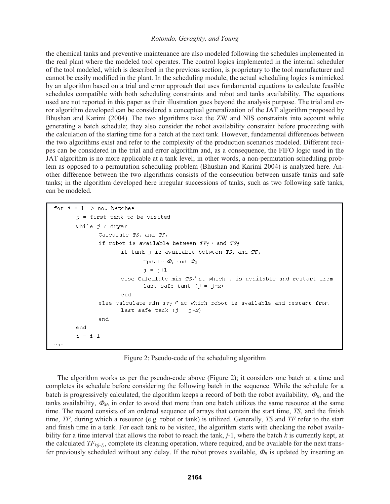the chemical tanks and preventive maintenance are also modeled following the schedules implemented in the real plant where the modeled tool operates. The control logics implemented in the internal scheduler of the tool modeled, which is described in the previous section, is proprietary to the tool manufacturer and cannot be easily modified in the plant. In the scheduling module, the actual scheduling logics is mimicked by an algorithm based on a trial and error approach that uses fundamental equations to calculate feasible schedules compatible with both scheduling constraints and robot and tanks availability. The equations used are not reported in this paper as their illustration goes beyond the analysis purpose. The trial and error algorithm developed can be considered a conceptual generalization of the JAT algorithm proposed by Bhushan and Karimi (2004). The two algorithms take the ZW and NIS constraints into account while generating a batch schedule; they also consider the robot availability constraint before proceeding with the calculation of the starting time for a batch at the next tank. However, fundamental differences between the two algorithms exist and refer to the complexity of the production scenarios modeled. Different recipes can be considered in the trial and error algorithm and, as a consequence, the FIFO logic used in the JAT algorithm is no more applicable at a tank level; in other words, a non-permutation scheduling problem as opposed to a permutation scheduling problem (Bhushan and Karimi 2004) is analyzed here. Another difference between the two algorithms consists of the consecution between unsafe tanks and safe tanks; in the algorithm developed here irregular successions of tanks, such as two following safe tanks, can be modeled.

```
for i = 1 -> no. batches
j = first tank to be visited
while i \neq dryer
       Calculate TS_j and TF_jif robot is available between TF_{j-1} and TS_jif tank j is available between TS_j and TF_jUpdate \Phi_j and \Phi_kj = j + 1else Calculate min TSj^* at which j is available and restart from
                     last safe tank (j = j-x)end
       else Calculate min TF_{i-1}^* at which robot is available and restart from
              last safe tank (j = j-x)end
end
i = i+1end
```
Figure 2: Pseudo-code of the scheduling algorithm

The algorithm works as per the pseudo-code above (Figure 2); it considers one batch at a time and completes its schedule before considering the following batch in the sequence. While the schedule for a batch is progressively calculated, the algorithm keeps a record of both the robot availability,  $\Phi_R$ , and the tanks availability,  $\Phi_M$ , in order to avoid that more than one batch utilizes the same resource at the same time. The record consists of an ordered sequence of arrays that contain the start time, *TS*, and the finish time, *TF*, during which a resource (e.g. robot or tank) is utilized. Generally, *TS* and *TF* refer to the start and finish time in a tank. For each tank to be visited, the algorithm starts with checking the robot availability for a time interval that allows the robot to reach the tank, *j*-1, where the batch *k* is currently kept, at the calculated  $TF_{k(j-1)}$ , complete its cleaning operation, where required, and be available for the next transfer previously scheduled without any delay. If the robot proves available,  $\Phi_R$  is updated by inserting an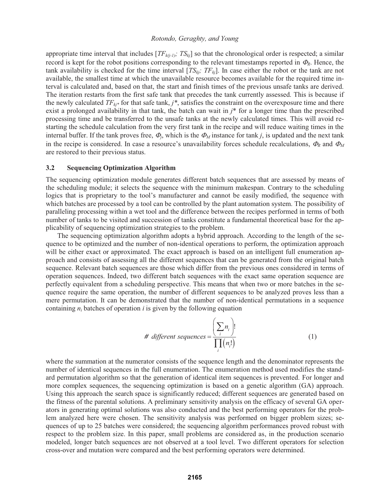appropriate time interval that includes  $[TF_{k(i-1)}; TS_{k}]$  so that the chronological order is respected; a similar record is kept for the robot positions corresponding to the relevant timestamps reported in  $\Phi_R$ . Hence, the tank availability is checked for the time interval  $[TS_{kj}$ ;  $TF_{kj}]$ . In case either the robot or the tank are not available, the smallest time at which the unavailable resource becomes available for the required time interval is calculated and, based on that, the start and finish times of the previous unsafe tanks are derived. The iteration restarts from the first safe tank that precedes the tank currently assessed. This is because if the newly calculated  $TF_{ki^*}$  for that safe tank,  $j^*$ , satisfies the constraint on the overexposure time and there exist a prolonged availability in that tank, the batch can wait in *j*\* for a longer time than the prescribed processing time and be transferred to the unsafe tanks at the newly calculated times. This will avoid restarting the schedule calculation from the very first tank in the recipe and will reduce waiting times in the internal buffer. If the tank proves free,  $\Phi_i$ , which is the  $\Phi_M$  instance for tank *j*, is updated and the next tank in the recipe is considered. In case a resource's unavailability forces schedule recalculations,  $\Phi_R$  and  $\Phi_M$ are restored to their previous status.

### **3.2 Sequencing Optimization Algorithm**

The sequencing optimization module generates different batch sequences that are assessed by means of the scheduling module; it selects the sequence with the minimum makespan. Contrary to the scheduling logics that is proprietary to the tool's manufacturer and cannot be easily modified, the sequence with which batches are processed by a tool can be controlled by the plant automation system. The possibility of paralleling processing within a wet tool and the difference between the recipes performed in terms of both number of tanks to be visited and succession of tanks constitute a fundamental theoretical base for the applicability of sequencing optimization strategies to the problem.

The sequencing optimization algorithm adopts a hybrid approach. According to the length of the sequence to be optimized and the number of non-identical operations to perform, the optimization approach will be either exact or approximated. The exact approach is based on an intelligent full enumeration approach and consists of assessing all the different sequences that can be generated from the original batch sequence. Relevant batch sequences are those which differ from the previous ones considered in terms of operation sequences. Indeed, two different batch sequences with the exact same operation sequence are perfectly equivalent from a scheduling perspective. This means that when two or more batches in the sequence require the same operation, the number of different sequences to be analyzed proves less than a mere permutation. It can be demonstrated that the number of non-identical permutations in a sequence containing  $n_i$  batches of operation *i* is given by the following equation

# different sequences 
$$
=
$$
  $\frac{\left(\sum_{i} n_{i}\right)!}{\prod_{i} (n_{i}!)}$  (1)

where the summation at the numerator consists of the sequence length and the denominator represents the number of identical sequences in the full enumeration. The enumeration method used modifies the standard permutation algorithm so that the generation of identical item sequences is prevented. For longer and more complex sequences, the sequencing optimization is based on a genetic algorithm (GA) approach. Using this approach the search space is significantly reduced; different sequences are generated based on the fitness of the parental solutions. A preliminary sensitivity analysis on the efficacy of several GA operators in generating optimal solutions was also conducted and the best performing operators for the problem analyzed here were chosen. The sensitivity analysis was performed on bigger problem sizes; sequences of up to 25 batches were considered; the sequencing algorithm performances proved robust with respect to the problem size. In this paper, small problems are considered as, in the production scenario modeled, longer batch sequences are not observed at a tool level. Two different operators for selection cross-over and mutation were compared and the best performing operators were determined.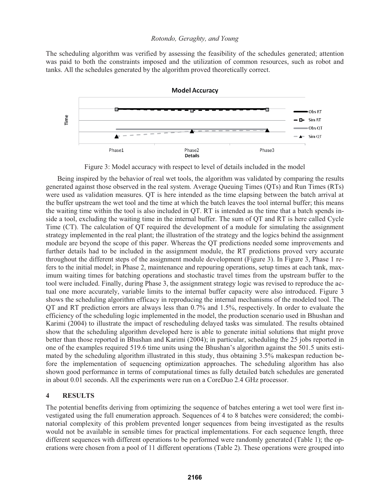The scheduling algorithm was verified by assessing the feasibility of the schedules generated; attention was paid to both the constraints imposed and the utilization of common resources, such as robot and tanks. All the schedules generated by the algorithm proved theoretically correct.



Figure 3: Model accuracy with respect to level of details included in the model

Being inspired by the behavior of real wet tools, the algorithm was validated by comparing the results generated against those observed in the real system. Average Queuing Times (QTs) and Run Times (RTs) were used as validation measures. QT is here intended as the time elapsing between the batch arrival at the buffer upstream the wet tool and the time at which the batch leaves the tool internal buffer; this means the waiting time within the tool is also included in QT. RT is intended as the time that a batch spends inside a tool, excluding the waiting time in the internal buffer. The sum of QT and RT is here called Cycle Time (CT). The calculation of QT required the development of a module for simulating the assignment strategy implemented in the real plant; the illustration of the strategy and the logics behind the assignment module are beyond the scope of this paper. Whereas the QT predictions needed some improvements and further details had to be included in the assignment module, the RT predictions proved very accurate throughout the different steps of the assignment module development (Figure 3). In Figure 3, Phase 1 refers to the initial model; in Phase 2, maintenance and repouring operations, setup times at each tank, maximum waiting times for batching operations and stochastic travel times from the upstream buffer to the tool were included. Finally, during Phase 3, the assignment strategy logic was revised to reproduce the actual one more accurately, variable limits to the internal buffer capacity were also introduced. Figure 3 shows the scheduling algorithm efficacy in reproducing the internal mechanisms of the modeled tool. The QT and RT prediction errors are always less than 0.7% and 1.5%, respectively. In order to evaluate the efficiency of the scheduling logic implemented in the model, the production scenario used in Bhushan and Karimi (2004) to illustrate the impact of rescheduling delayed tasks was simulated. The results obtained show that the scheduling algorithm developed here is able to generate initial solutions that might prove better than those reported in Bhushan and Karimi (2004); in particular, scheduling the 25 jobs reported in one of the examples required 519.6 time units using the Bhushan's algorithm against the 501.5 units estimated by the scheduling algorithm illustrated in this study, thus obtaining 3.5% makespan reduction before the implementation of sequencing optimization approaches. The scheduling algorithm has also shown good performance in terms of computational times as fully detailed batch schedules are generated in about 0.01 seconds. All the experiments were run on a CoreDuo 2.4 GHz processor.

# **4 RESULTS**

The potential benefits deriving from optimizing the sequence of batches entering a wet tool were first investigated using the full enumeration approach. Sequences of 4 to 8 batches were considered; the combinatorial complexity of this problem prevented longer sequences from being investigated as the results would not be available in sensible times for practical implementations. For each sequence length, three different sequences with different operations to be performed were randomly generated (Table 1); the operations were chosen from a pool of 11 different operations (Table 2). These operations were grouped into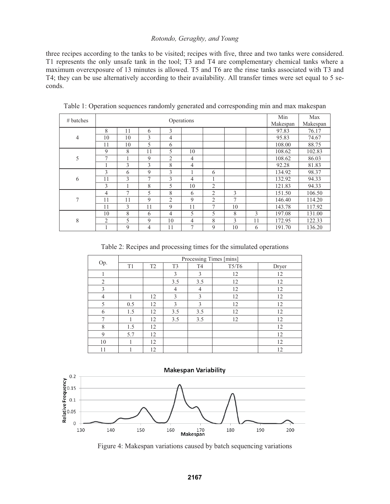three recipes according to the tanks to be visited; recipes with five, three and two tanks were considered. T1 represents the only unsafe tank in the tool; T3 and T4 are complementary chemical tanks where a maximum overexposure of 13 minutes is allowed. T5 and T6 are the rinse tanks associated with T3 and T4; they can be use alternatively according to their availability. All transfer times were set equal to 5 seconds.

| # batches      | Operations     |                |    |                |                |                |    |    | Min<br>Makespan | Max      |
|----------------|----------------|----------------|----|----------------|----------------|----------------|----|----|-----------------|----------|
|                |                |                |    |                |                |                |    |    |                 | Makespan |
|                | 8              | 11             | 6  | 3              |                |                |    |    | 97.83           | 76.17    |
| $\overline{4}$ | 10             | 10             | 3  | $\overline{4}$ |                |                |    |    | 95.83           | 74.67    |
|                | 11             | 10             | 5  | 6              |                |                |    |    | 108.00          | 88.75    |
|                | 9              | 8              | 11 | 5              | 10             |                |    |    | 108.62          | 102.83   |
| 5              | 7              |                | 9  | 2              | $\overline{4}$ |                |    |    | 108.62          | 86.03    |
|                |                | 3              | 3  | 8              | $\overline{4}$ |                |    |    | 92.28           | 81.83    |
| 6              | 3              | 6              | 9  | 3              |                | 6              |    |    | 134.92          | 98.37    |
|                | 11             | 3              | 7  | 3              | 4              | 1              |    |    | 132.92          | 94.33    |
|                | 3              |                | 8  | 5              | 10             | 2              |    |    | 121.83          | 94.33    |
|                | 4              | 7              | 5  | 8              | 6              | $\overline{2}$ | 3  |    | 151.50          | 106.50   |
| 7              | 11             | 11             | 9  | $\overline{2}$ | 9              | 2              | 7  |    | 146.40          | 114.20   |
|                | 11             | 3              | 11 | 9              | 11             | 7              | 10 |    | 143.78          | 117.92   |
| 8              | 10             | 8              | 6  | $\overline{4}$ | 5              | 5              | 8  | 3  | 197.08          | 131.00   |
|                | $\overline{2}$ | 5              | 9  | 10             | 4              | 8              | 3  | 11 | 172.95          | 122.33   |
|                |                | $\overline{Q}$ | 4  | 11             | 7              | 9              | 10 | 6  | 191.70          | 136.20   |

Table 1: Operation sequences randomly generated and corresponding min and max makespan

| Table 2: Recipes and processing times for the simulated operations |
|--------------------------------------------------------------------|
|--------------------------------------------------------------------|

| Op.            | Processing Times [mins] |                |                |                |       |       |  |  |  |
|----------------|-------------------------|----------------|----------------|----------------|-------|-------|--|--|--|
|                | T1                      | T <sub>2</sub> | T <sub>3</sub> | T <sub>4</sub> | T5/T6 | Dryer |  |  |  |
|                |                         |                | 3              | 3              | 12    | 12    |  |  |  |
| $\overline{2}$ |                         |                | 3.5            | 3.5            | 12    | 12    |  |  |  |
| 3              |                         |                | 4              | 4              | 12    | 12    |  |  |  |
| 4              |                         | 12             | 3              | 3              | 12    | 12    |  |  |  |
| $\overline{5}$ | 0.5                     | 12             | 3              | 3              | 12    | 12    |  |  |  |
| 6              | 1.5                     | 12             | 3.5            | 3.5            | 12    | 12    |  |  |  |
| $\mathcal{I}$  |                         | 12             | 3.5            | 3.5            | 12    | 12    |  |  |  |
| 8              | 1.5                     | 12             |                |                |       | 12    |  |  |  |
| 9              | 5.7                     | 12             |                |                |       | 12    |  |  |  |
| 10             |                         | 12             |                |                |       | 12    |  |  |  |
| 11             |                         | 12             |                |                |       | 12    |  |  |  |



Figure 4: Makespan variations caused by batch sequencing variations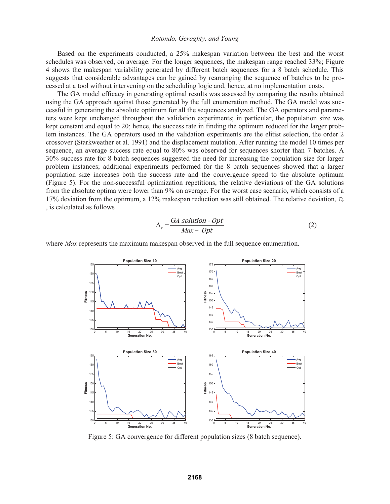Based on the experiments conducted, a 25% makespan variation between the best and the worst schedules was observed, on average. For the longer sequences, the makespan range reached 33%; Figure 4 shows the makespan variability generated by different batch sequences for a 8 batch schedule. This suggests that considerable advantages can be gained by rearranging the sequence of batches to be processed at a tool without intervening on the scheduling logic and, hence, at no implementation costs.

The GA model efficacy in generating optimal results was assessed by comparing the results obtained using the GA approach against those generated by the full enumeration method. The GA model was successful in generating the absolute optimum for all the sequences analyzed. The GA operators and parameters were kept unchanged throughout the validation experiments; in particular, the population size was kept constant and equal to 20; hence, the success rate in finding the optimum reduced for the larger problem instances. The GA operators used in the validation experiments are the elitist selection, the order 2 crossover (Starkweather et al. 1991) and the displacement mutation. After running the model 10 times per sequence, an average success rate equal to 80% was observed for sequences shorter than 7 batches. A 30% success rate for 8 batch sequences suggested the need for increasing the population size for larger problem instances; additional experiments performed for the 8 batch sequences showed that a larger population size increases both the success rate and the convergence speed to the absolute optimum (Figure 5). For the non-successful optimization repetitions, the relative deviations of the GA solutions from the absolute optima were lower than 9% on average. For the worst case scenario, which consists of a 17% deviation from the optimum, a 12% makespan reduction was still obtained. The relative deviation, *D<sup>r</sup>* , is calculated as follows

$$
\Delta_r = \frac{GA \, solution \cdot Opt}{Max - Opt} \tag{2}
$$

where *Max* represents the maximum makespan observed in the full sequence enumeration.



Figure 5: GA convergence for different population sizes (8 batch sequence).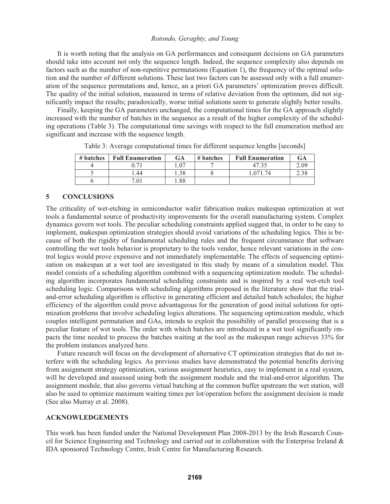It is worth noting that the analysis on GA performances and consequent decisions on GA parameters should take into account not only the sequence length. Indeed, the sequence complexity also depends on factors such as the number of non-repetitive permutations (Equation 1), the frequency of the optimal solution and the number of different solutions. These last two factors can be assessed only with a full enumeration of the sequence permutations and, hence, an a priori GA parameters' optimization proves difficult. The quality of the initial solution, measured in terms of relative deviation from the optimum, did not significantly impact the results; paradoxically, worse initial solutions seem to generate slightly better results.

Finally, keeping the GA parameters unchanged, the computational times for the GA approach slightly increased with the number of batches in the sequence as a result of the higher complexity of the scheduling operations (Table 3). The computational time savings with respect to the full enumeration method are significant and increase with the sequence length.

| # batches | <b>Full Enumeration</b> | GA       | # batches | <b>Full Enumeration</b> | <b>GA</b> |
|-----------|-------------------------|----------|-----------|-------------------------|-----------|
|           |                         | $\Omega$ |           |                         |           |
|           | .44                     | 2Q       |           |                         |           |
|           |                         | .88      |           |                         |           |

Table 3: Average computational times for different sequence lengths [seconds]

### **5 CONCLUSIONS**

The criticality of wet-etching in semiconductor wafer fabrication makes makespan optimization at wet tools a fundamental source of productivity improvements for the overall manufacturing system. Complex dynamics govern wet tools. The peculiar scheduling constraints applied suggest that, in order to be easy to implement, makespan optimization strategies should avoid variations of the scheduling logics. This is because of both the rigidity of fundamental scheduling rules and the frequent circumstance that software controlling the wet tools behavior is proprietary to the tools vendor, hence relevant variations in the control logics would prove expensive and not immediately implementable. The effects of sequencing optimization on makespan at a wet tool are investigated in this study by means of a simulation model. This model consists of a scheduling algorithm combined with a sequencing optimization module. The scheduling algorithm incorporates fundamental scheduling constraints and is inspired by a real wet-etch tool scheduling logic. Comparisons with scheduling algorithms proposed in the literature show that the trialand-error scheduling algorithm is effective in generating efficient and detailed batch schedules; the higher efficiency of the algorithm could prove advantageous for the generation of good initial solutions for optimization problems that involve scheduling logics alterations. The sequencing optimization module, which couples intelligent permutation and GAs, intends to exploit the possibility of parallel processing that is a peculiar feature of wet tools. The order with which batches are introduced in a wet tool significantly impacts the time needed to process the batches waiting at the tool as the makespan range achieves 33% for the problem instances analyzed here.

Future research will focus on the development of alternative CT optimization strategies that do not interfere with the scheduling logics. As previous studies have demonstrated the potential benefits deriving from assignment strategy optimization, various assignment heuristics, easy to implement in a real system, will be developed and assessed using both the assignment module and the trial-and-error algorithm. The assignment module, that also governs virtual batching at the common buffer upstream the wet station, will also be used to optimize maximum waiting times per lot/operation before the assignment decision is made (See also Murray et al. 2008).

# **ACKNOWLEDGEMENTS**

This work has been funded under the National Development Plan 2008-2013 by the Irish Research Council for Science Engineering and Technology and carried out in collaboration with the Enterprise Ireland & IDA sponsored Technology Centre, Irish Centre for Manufacturing Research.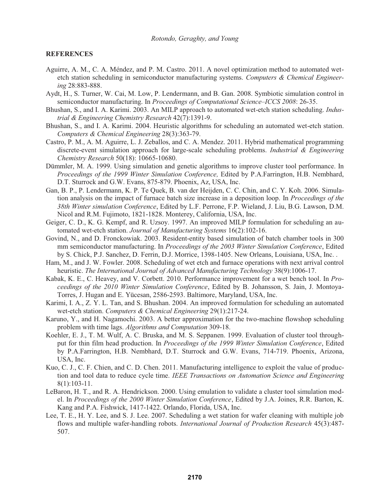### **REFERENCES**

- Aguirre, A. M., C. A. Méndez, and P. M. Castro. 2011. A novel optimization method to automated wetetch station scheduling in semiconductor manufacturing systems. *Computers & Chemical Engineering* 28:883-888.
- Aydt, H., S. Turner, W. Cai, M. Low, P. Lendermann, and B. Gan. 2008. Symbiotic simulation control in semiconductor manufacturing. In *Proceedings of Computational Science–ICCS 2008*: 26-35.
- Bhushan, S., and I. A. Karimi. 2003. An MILP approach to automated wet-etch station scheduling. *Industrial & Engineering Chemistry Research* 42(7):1391-9.
- Bhushan, S., and I. A. Karimi. 2004. Heuristic algorithms for scheduling an automated wet-etch station. *Computers & Chemical Engineering* 28(3):363-79.
- Castro, P. M., A. M. Aguirre, L. J. Zeballos, and C. A. Mendez. 2011. Hybrid mathematical programming discrete-event simulation approach for large-scale scheduling problems. *Industrial & Engineering Chemistry Research* 50(18): 10665-10680.
- Dümmler, M. A. 1999. Using simulation and genetic algorithms to improve cluster tool performance. In *Proceedings of the 1999 Winter Simulation Conference,* Edited by P.A.Farrington, H.B. Nembhard, D.T. Sturrock and G.W. Evans, 875-879. Phoenix, Az, USA, Inc.
- Gan, B. P., P. Lendermann, K. P. Te Quek, B. van der Heijden, C. C. Chin, and C. Y. Koh. 2006. Simulation analysis on the impact of furnace batch size increase in a deposition loop. In *Proceedings of the 38th Winter simulation Conference*, Edited by L.F. Perrone, F.P. Wieland, J. Liu, B.G. Lawson, D.M. Nicol and R.M. Fujimoto, 1821-1828. Monterey, California, USA, Inc.
- Geiger, C. D., K. G. Kempf, and R. Uzsoy. 1997. An improved MILP formulation for scheduling an automated wet-etch station. *Journal of Manufacturing Systems* 16(2):102-16.
- Govind, N., and D. Fronckowiak. 2003. Resident-entity based simulation of batch chamber tools in 300 mm semiconductor manufacturing. In *Proceedings of the 2003 Winter Simulation Conference*, Edited by S. Chick, P.J. Sanchez, D. Ferrin, D.J. Morrice, 1398-1405. New Orleans, Louisiana, USA, Inc. .
- Ham, M., and J. W. Fowler. 2008. Scheduling of wet etch and furnace operations with next arrival control heuristic. *The International Journal of Advanced Manufacturing Technology* 38(9):1006-17.
- Kabak, K. E., C. Heavey, and V. Corbett. 2010. Performance improvement for a wet bench tool. In *Proceedings of the 2010 Winter Simulation Conference*, Edited by B. Johansson, S. Jain, J. Montoya-Torres, J. Hugan and E. Yücesan, 2586-2593. Baltimore, Maryland, USA, Inc.
- Karimi, I. A., Z. Y. L. Tan, and S. Bhushan. 2004. An improved formulation for scheduling an automated wet-etch station. *Computers & Chemical Engineering* 29(1):217-24.
- Karuno, Y., and H. Nagamochi. 2003. A better approximation for the two-machine flowshop scheduling problem with time lags. *Algorithms and Computation* 309-18.
- Koehler, E. J., T. M. Wulf, A. C. Bruska, and M. S. Seppanen. 1999. Evaluation of cluster tool throughput for thin film head production. In *Proceedings of the 1999 Winter Simulation Conference*, Edited by P.A.Farrington, H.B. Nembhard, D.T. Sturrock and G.W. Evans, 714-719. Phoenix, Arizona, USA, Inc.
- Kuo, C. J., C. F. Chien, and C. D. Chen. 2011. Manufacturing intelligence to exploit the value of production and tool data to reduce cycle time. *IEEE Transactions on Automation Science and Engineering* 8(1):103-11.
- LeBaron, H. T., and R. A. Hendrickson. 2000. Using emulation to validate a cluster tool simulation model. In *Proceedings of the 2000 Winter Simulation Conference*, Edited by J.A. Joines, R.R. Barton, K. Kang and P.A. Fishwick, 1417-1422. Orlando, Florida, USA, Inc.
- Lee, T. E., H. Y. Lee, and S. J. Lee. 2007. Scheduling a wet station for wafer cleaning with multiple job flows and multiple wafer-handling robots. *International Journal of Production Research* 45(3):487- 507.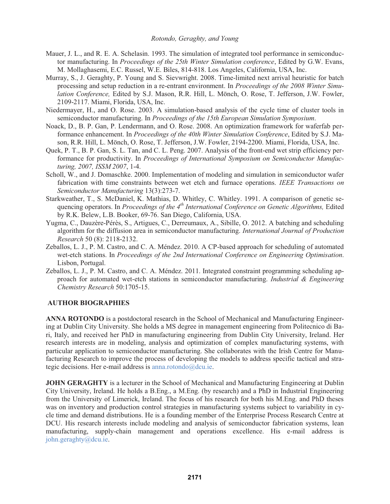- Mauer, J. L., and R. E. A. Schelasin. 1993. The simulation of integrated tool performance in semiconductor manufacturing. In *Proceedings of the 25th Winter Simulation conference*, Edited by G.W. Evans, M. Mollaghasemi, E.C. Russel, W.E. Biles, 814-818. Los Angeles, California, USA, Inc.
- Murray, S., J. Geraghty, P. Young and S. Sievwright. 2008. Time-limited next arrival heuristic for batch processing and setup reduction in a re-entrant environment. In *Proceedings of the 2008 Winter Simulation Conference,* Edited by S.J. Mason, R.R. Hill, L. Mönch, O. Rose, T. Jefferson, J.W. Fowler, 2109-2117. Miami, Florida, USA, Inc.
- Niedermayer, H., and O. Rose. 2003. A simulation-based analysis of the cycle time of cluster tools in semiconductor manufacturing. In *Proceedings of the 15th European Simulation Symposium*.
- Noack, D., B. P. Gan, P. Lendermann, and O. Rose. 2008. An optimization framework for waferfab performance enhancement. In *Proceedings of the 40th Winter Simulation Conference*, Edited by S.J. Mason, R.R. Hill, L. Mönch, O. Rose, T. Jefferson, J.W. Fowler, 2194-2200. Miami, Florida, USA, Inc.
- Quek, P. T., B. P. Gan, S. L. Tan, and C. L. Peng. 2007. Analysis of the front-end wet strip efficiency performance for productivity. In *Proceedings of International Symposium on Semiconductor Manufacturing, 2007, ISSM 2007*, 1-4.
- Scholl, W., and J. Domaschke. 2000. Implementation of modeling and simulation in semiconductor wafer fabrication with time constraints between wet etch and furnace operations. *IEEE Transactions on Semiconductor Manufacturing* 13(3):273-7.
- Starkweather, T., S. McDaniel, K. Mathias, D. Whitley, C. Whitley. 1991. A comparison of genetic sequencing operators. In *Proceedings of the 4th International Conference on Genetic Algorithms,* Edited by R.K. Belew, L.B. Booker, 69-76. San Diego, California, USA.
- Yugma, C., Dauzère-Pérès, S., Artigues, C., Derreumaux, A., Sibille, O. 2012. A batching and scheduling algorithm for the diffusion area in semiconductor manufacturing. *International Journal of Production Research* 50 (8): 2118-2132.
- Zeballos, L. J., P. M. Castro, and C. A. Méndez. 2010. A CP-based approach for scheduling of automated wet-etch stations. In *Proceedings of the 2nd International Conference on Engineering Optimisation*. Lisbon, Portugal.
- Zeballos, L. J., P. M. Castro, and C. A. Méndez. 2011. Integrated constraint programming scheduling approach for automated wet-etch stations in semiconductor manufacturing. *Industrial & Engineering Chemistry Research* 50:1705-15.

# **AUTHOR BIOGRAPHIES**

**ANNA ROTONDO** is a postdoctoral research in the School of Mechanical and Manufacturing Engineering at Dublin City University. She holds a MS degree in management engineering from Politecnico di Bari, Italy, and received her PhD in manufacturing engineering from Dublin City University, Ireland. Her research interests are in modeling, analysis and optimization of complex manufacturing systems, with particular application to semiconductor manufacturing. She collaborates with the Irish Centre for Manufacturing Research to improve the process of developing the models to address specific tactical and strategic decisions. Her e-mail address is anna.rotondo@dcu.ie.

**JOHN GERAGHTY** is a lecturer in the School of Mechanical and Manufacturing Engineering at Dublin City University, Ireland. He holds a B.Eng., a M.Eng. (by research) and a PhD in Industrial Engineering from the University of Limerick, Ireland. The focus of his research for both his M.Eng. and PhD theses was on inventory and production control strategies in manufacturing systems subject to variability in cycle time and demand distributions. He is a founding member of the Enterprise Process Research Centre at DCU. His research interests include modeling and analysis of semiconductor fabrication systems, lean manufacturing, supply-chain management and operations excellence. His e-mail address is john.geraghty@dcu.ie.